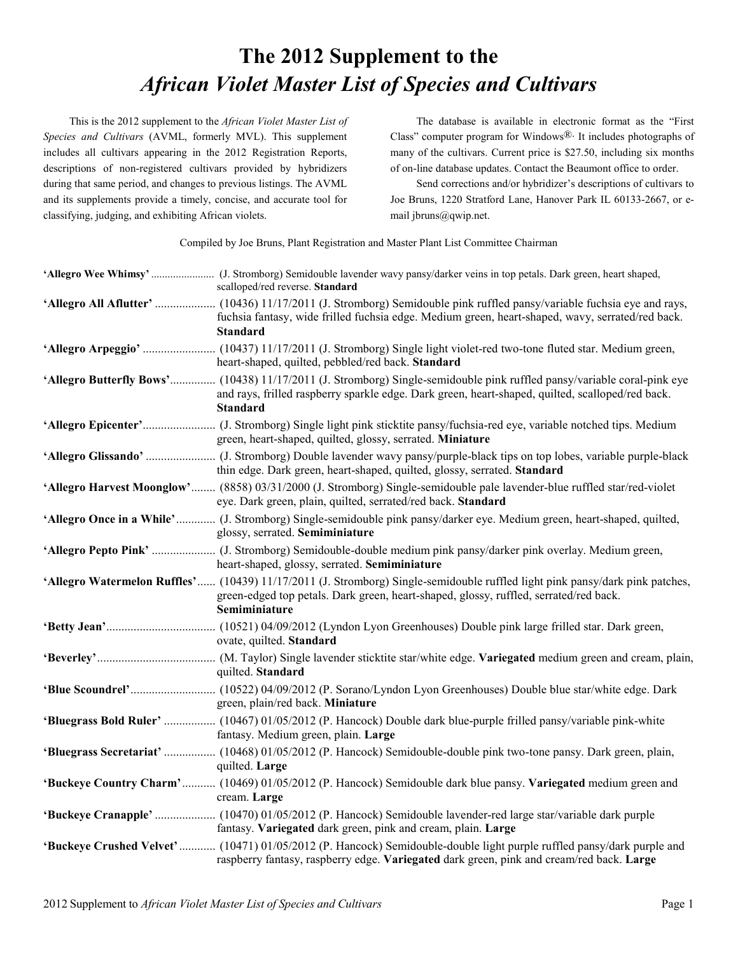## **The 2012 Supplement to the** *African Violet Master List of Species and Cultivars*

This is the 2012 supplement to the *African Violet Master List of Species and Cultivars* (AVML, formerly MVL). This supplement includes all cultivars appearing in the 2012 Registration Reports, descriptions of non-registered cultivars provided by hybridizers during that same period, and changes to previous listings. The AVML and its supplements provide a timely, concise, and accurate tool for classifying, judging, and exhibiting African violets.

The database is available in electronic format as the "First Class" computer program for Windows $\mathbb{R}$ . It includes photographs of many of the cultivars. Current price is \$27.50, including six months of on-line database updates. Contact the Beaumont office to order.

Send corrections and/or hybridizer's descriptions of cultivars to Joe Bruns, 1220 Stratford Lane, Hanover Park IL 60133-2667, or email jbruns@qwip.net.

Compiled by Joe Bruns, Plant Registration and Master Plant List Committee Chairman

| scalloped/red reverse. Standard                                                                                                                                                                                                                |
|------------------------------------------------------------------------------------------------------------------------------------------------------------------------------------------------------------------------------------------------|
| fuchsia fantasy, wide frilled fuchsia edge. Medium green, heart-shaped, wavy, serrated/red back.<br><b>Standard</b>                                                                                                                            |
| heart-shaped, quilted, pebbled/red back. Standard                                                                                                                                                                                              |
| 'Allegro Butterfly Bows' (10438) 11/17/2011 (J. Stromborg) Single-semidouble pink ruffled pansy/variable coral-pink eye<br>and rays, frilled raspberry sparkle edge. Dark green, heart-shaped, quilted, scalloped/red back.<br><b>Standard</b> |
| green, heart-shaped, quilted, glossy, serrated. Miniature                                                                                                                                                                                      |
| thin edge. Dark green, heart-shaped, quilted, glossy, serrated. Standard                                                                                                                                                                       |
| 'Allegro Harvest Moonglow' (8858) 03/31/2000 (J. Stromborg) Single-semidouble pale lavender-blue ruffled star/red-violet<br>eye. Dark green, plain, quilted, serrated/red back. Standard                                                       |
| 'Allegro Once in a While' (J. Stromborg) Single-semidouble pink pansy/darker eye. Medium green, heart-shaped, quilted,<br>glossy, serrated. Semiminiature                                                                                      |
| heart-shaped, glossy, serrated. Semiminiature                                                                                                                                                                                                  |
| 'Allegro Watermelon Ruffles' (10439) 11/17/2011 (J. Stromborg) Single-semidouble ruffled light pink pansy/dark pink patches,<br>green-edged top petals. Dark green, heart-shaped, glossy, ruffled, serrated/red back.<br>Semiminiature         |
| ovate, quilted. Standard                                                                                                                                                                                                                       |
| quilted. Standard                                                                                                                                                                                                                              |
| green, plain/red back. Miniature                                                                                                                                                                                                               |
| 'Bluegrass Bold Ruler'  (10467) 01/05/2012 (P. Hancock) Double dark blue-purple frilled pansy/variable pink-white<br>fantasy. Medium green, plain. Large                                                                                       |
| 'Bluegrass Secretariat'  (10468) 01/05/2012 (P. Hancock) Semidouble-double pink two-tone pansy. Dark green, plain,<br>quilted. Large                                                                                                           |
| 'Buckeye Country Charm' (10469) 01/05/2012 (P. Hancock) Semidouble dark blue pansy. Variegated medium green and<br>cream. Large                                                                                                                |
| fantasy. Variegated dark green, pink and cream, plain. Large                                                                                                                                                                                   |
| <b>Buckeye Crushed Velvet'</b> (10471) 01/05/2012 (P. Hancock) Semidouble-double light purple ruffled pansy/dark purple and<br>raspberry fantasy, raspberry edge. Variegated dark green, pink and cream/red back. Large                        |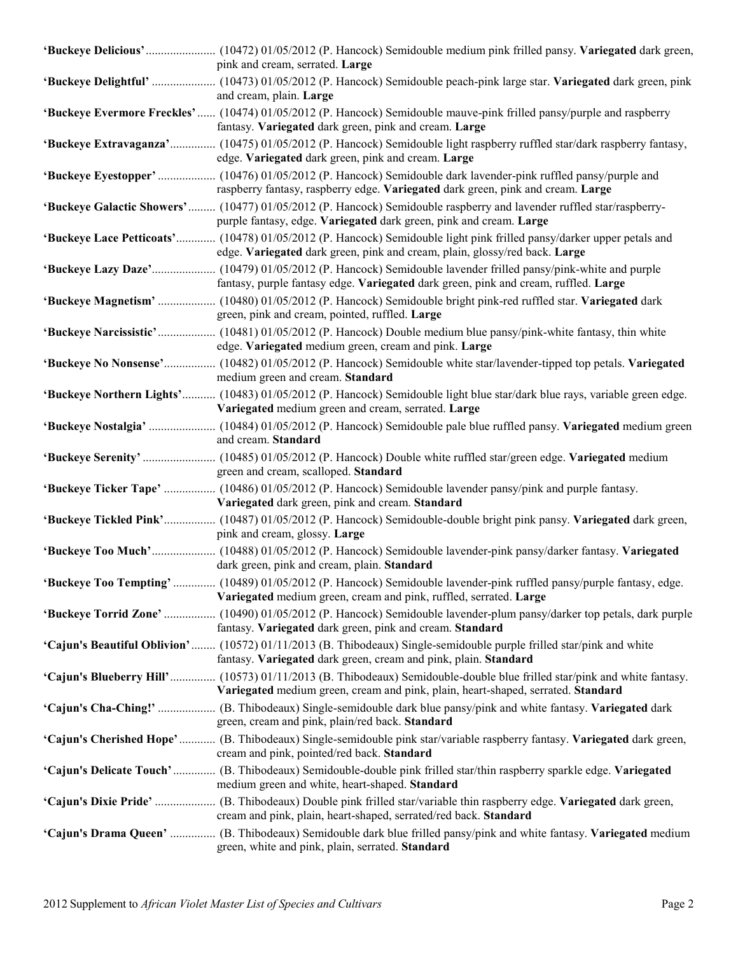| pink and cream, serrated. Large                                                                                                                                                                                    |
|--------------------------------------------------------------------------------------------------------------------------------------------------------------------------------------------------------------------|
| 'Buckeye Delightful'  (10473) 01/05/2012 (P. Hancock) Semidouble peach-pink large star. Variegated dark green, pink<br>and cream, plain. Large                                                                     |
| 'Buckeye Evermore Freckles'  (10474) 01/05/2012 (P. Hancock) Semidouble mauve-pink frilled pansy/purple and raspberry<br>fantasy. Variegated dark green, pink and cream. Large                                     |
| 'Buckeye Extravaganza' (10475) 01/05/2012 (P. Hancock) Semidouble light raspberry ruffled star/dark raspberry fantasy,<br>edge. Variegated dark green, pink and cream. Large                                       |
| 'Buckeye Eyestopper'  (10476) 01/05/2012 (P. Hancock) Semidouble dark lavender-pink ruffled pansy/purple and<br>raspberry fantasy, raspberry edge. Variegated dark green, pink and cream. Large                    |
| 'Buckeye Galactic Showers' (10477) 01/05/2012 (P. Hancock) Semidouble raspberry and lavender ruffled star/raspberry-<br>purple fantasy, edge. Variegated dark green, pink and cream. Large                         |
| 'Buckeye Lace Petticoats' (10478) 01/05/2012 (P. Hancock) Semidouble light pink frilled pansy/darker upper petals and<br>edge. Variegated dark green, pink and cream, plain, glossy/red back. Large                |
| fantasy, purple fantasy edge. Variegated dark green, pink and cream, ruffled. Large                                                                                                                                |
| 'Buckeye Magnetism'  (10480) 01/05/2012 (P. Hancock) Semidouble bright pink-red ruffled star. Variegated dark<br>green, pink and cream, pointed, ruffled. Large                                                    |
| edge. Variegated medium green, cream and pink. Large                                                                                                                                                               |
| 'Buckeye No Nonsense' (10482) 01/05/2012 (P. Hancock) Semidouble white star/lavender-tipped top petals. Variegated<br>medium green and cream. Standard                                                             |
| 'Buckeye Northern Lights' (10483) 01/05/2012 (P. Hancock) Semidouble light blue star/dark blue rays, variable green edge.<br>Variegated medium green and cream, serrated. Large                                    |
| and cream. Standard                                                                                                                                                                                                |
| green and cream, scalloped. Standard                                                                                                                                                                               |
| Variegated dark green, pink and cream. Standard                                                                                                                                                                    |
| 'Buckeye Tickled Pink' (10487) 01/05/2012 (P. Hancock) Semidouble-double bright pink pansy. Variegated dark green,<br>pink and cream, glossy. Large                                                                |
| 'Buckeye Too Much' (10488) 01/05/2012 (P. Hancock) Semidouble lavender-pink pansy/darker fantasy. Variegated<br>dark green, pink and cream, plain. Standard                                                        |
| 'Buckeye Too Tempting'  (10489) 01/05/2012 (P. Hancock) Semidouble lavender-pink ruffled pansy/purple fantasy, edge.<br>Variegated medium green, cream and pink, ruffled, serrated. Large                          |
| 'Buckeye Torrid Zone' (10490) 01/05/2012 (P. Hancock) Semidouble lavender-plum pansy/darker top petals, dark purple<br>fantasy. Variegated dark green, pink and cream. Standard                                    |
| 'Cajun's Beautiful Oblivion' (10572) 01/11/2013 (B. Thibodeaux) Single-semidouble purple frilled star/pink and white<br>fantasy. Variegated dark green, cream and pink, plain. Standard                            |
| <b>'Cajun's Blueberry Hill'</b> (10573) 01/11/2013 (B. Thibodeaux) Semidouble-double blue frilled star/pink and white fantasy.<br>Variegated medium green, cream and pink, plain, heart-shaped, serrated. Standard |
| 'Cajun's Cha-Ching!'  (B. Thibodeaux) Single-semidouble dark blue pansy/pink and white fantasy. Variegated dark<br>green, cream and pink, plain/red back. Standard                                                 |
| 'Cajun's Cherished Hope'  (B. Thibodeaux) Single-semidouble pink star/variable raspberry fantasy. Variegated dark green,<br>cream and pink, pointed/red back. Standard                                             |
| 'Cajun's Delicate Touch'  (B. Thibodeaux) Semidouble-double pink frilled star/thin raspberry sparkle edge. Variegated<br>medium green and white, heart-shaped. Standard                                            |
| 'Cajun's Dixie Pride'  (B. Thibodeaux) Double pink frilled star/variable thin raspberry edge. Variegated dark green,<br>cream and pink, plain, heart-shaped, serrated/red back. Standard                           |
| 'Cajun's Drama Queen'  (B. Thibodeaux) Semidouble dark blue frilled pansy/pink and white fantasy. Variegated medium<br>green, white and pink, plain, serrated. Standard                                            |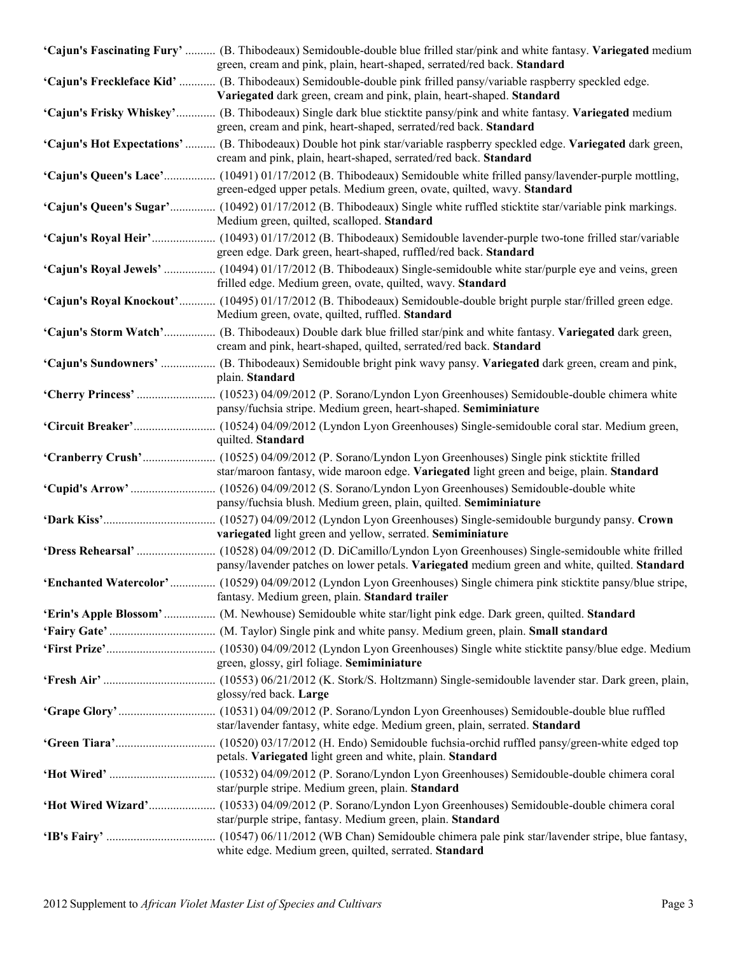| 'Cajun's Fascinating Fury'  (B. Thibodeaux) Semidouble-double blue frilled star/pink and white fantasy. Variegated medium<br>green, cream and pink, plain, heart-shaped, serrated/red back. Standard |
|------------------------------------------------------------------------------------------------------------------------------------------------------------------------------------------------------|
| 'Cajun's Freckleface Kid'  (B. Thibodeaux) Semidouble-double pink frilled pansy/variable raspberry speckled edge.<br>Variegated dark green, cream and pink, plain, heart-shaped. Standard            |
| 'Cajun's Frisky Whiskey' (B. Thibodeaux) Single dark blue sticktite pansy/pink and white fantasy. Variegated medium<br>green, cream and pink, heart-shaped, serrated/red back. Standard              |
| 'Cajun's Hot Expectations'  (B. Thibodeaux) Double hot pink star/variable raspberry speckled edge. Variegated dark green,<br>cream and pink, plain, heart-shaped, serrated/red back. Standard        |
| 'Cajun's Queen's Lace' (10491) 01/17/2012 (B. Thibodeaux) Semidouble white frilled pansy/lavender-purple mottling,<br>green-edged upper petals. Medium green, ovate, quilted, wavy. Standard         |
| 'Cajun's Queen's Sugar' (10492) 01/17/2012 (B. Thibodeaux) Single white ruffled sticktite star/variable pink markings.<br>Medium green, quilted, scalloped. Standard                                 |
| green edge. Dark green, heart-shaped, ruffled/red back. Standard                                                                                                                                     |
| frilled edge. Medium green, ovate, quilted, wavy. Standard                                                                                                                                           |
| 'Cajun's Royal Knockout' (10495) 01/17/2012 (B. Thibodeaux) Semidouble-double bright purple star/frilled green edge.<br>Medium green, ovate, quilted, ruffled. Standard                              |
| 'Cajun's Storm Watch' (B. Thibodeaux) Double dark blue frilled star/pink and white fantasy. Variegated dark green,<br>cream and pink, heart-shaped, quilted, serrated/red back. Standard             |
| 'Cajun's Sundowners'  (B. Thibodeaux) Semidouble bright pink wavy pansy. Variegated dark green, cream and pink,<br>plain. Standard                                                                   |
| pansy/fuchsia stripe. Medium green, heart-shaped. Semiminiature                                                                                                                                      |
| quilted. Standard                                                                                                                                                                                    |
| star/maroon fantasy, wide maroon edge. Variegated light green and beige, plain. Standard                                                                                                             |
| pansy/fuchsia blush. Medium green, plain, quilted. Semiminiature                                                                                                                                     |
| variegated light green and yellow, serrated. Semiminiature                                                                                                                                           |
| pansy/lavender patches on lower petals. Variegated medium green and white, quilted. Standard                                                                                                         |
| fantasy. Medium green, plain. Standard trailer                                                                                                                                                       |
|                                                                                                                                                                                                      |
|                                                                                                                                                                                                      |
| green, glossy, girl foliage. Semiminiature                                                                                                                                                           |
| glossy/red back. Large                                                                                                                                                                               |
| star/lavender fantasy, white edge. Medium green, plain, serrated. Standard                                                                                                                           |
| petals. Variegated light green and white, plain. Standard                                                                                                                                            |
| star/purple stripe. Medium green, plain. Standard                                                                                                                                                    |
| star/purple stripe, fantasy. Medium green, plain. Standard                                                                                                                                           |
| white edge. Medium green, quilted, serrated. Standard                                                                                                                                                |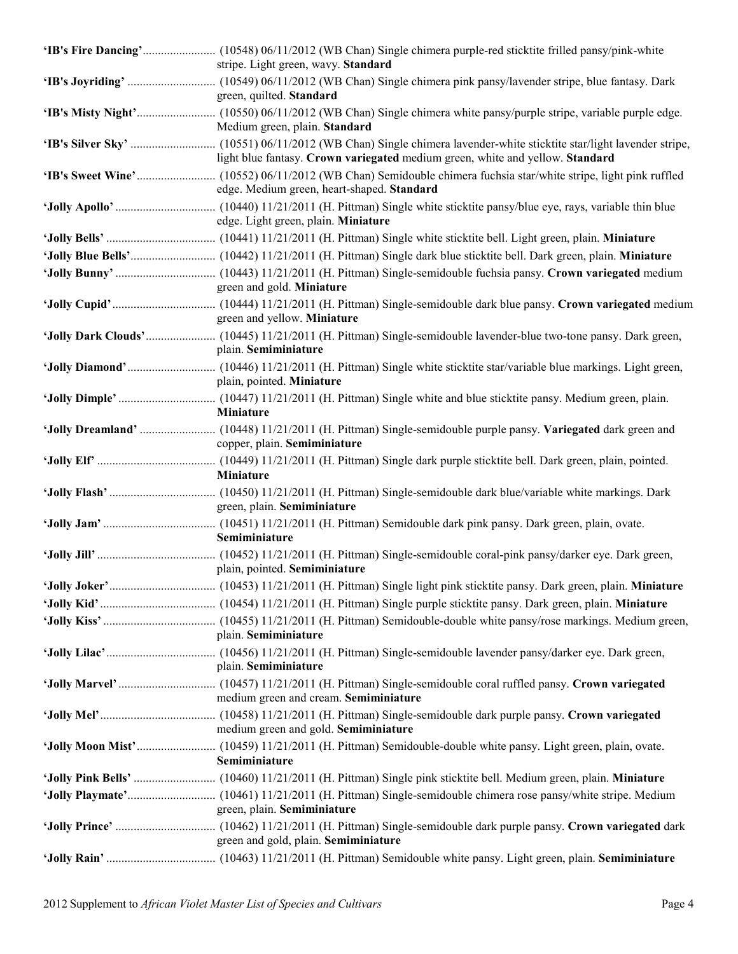| stripe. Light green, wavy. Standard                                           |
|-------------------------------------------------------------------------------|
| green, quilted. Standard                                                      |
| Medium green, plain. Standard                                                 |
| light blue fantasy. Crown variegated medium green, white and yellow. Standard |
| edge. Medium green, heart-shaped. Standard                                    |
| edge. Light green, plain. Miniature                                           |
|                                                                               |
|                                                                               |
| green and gold. Miniature                                                     |
| green and yellow. Miniature                                                   |
| plain. Semiminiature                                                          |
| plain, pointed. Miniature                                                     |
| Miniature                                                                     |
| copper, plain. Semiminiature                                                  |
|                                                                               |
| Miniature                                                                     |
| green, plain. Semiminiature                                                   |
| Semiminiature                                                                 |
| plain, pointed. Semiminiature                                                 |
|                                                                               |
|                                                                               |
| plain. Semiminiature                                                          |
| plain. Semiminiature                                                          |
| medium green and cream. Semiminiature                                         |
| medium green and gold. Semiminiature                                          |
| Semiminiature                                                                 |
|                                                                               |
|                                                                               |
| green, plain. Semiminiature                                                   |
|                                                                               |
| green and gold, plain. Semiminiature                                          |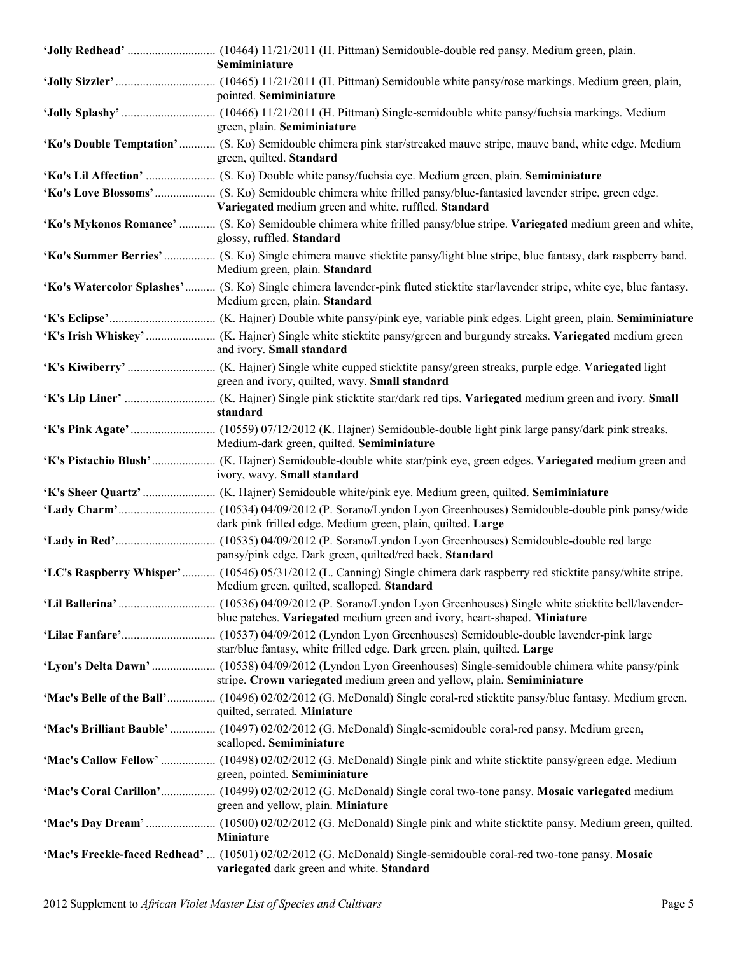| Semiminiature                                                                                                                                                          |
|------------------------------------------------------------------------------------------------------------------------------------------------------------------------|
| pointed. Semiminiature                                                                                                                                                 |
| green, plain. Semiminiature                                                                                                                                            |
| 'Ko's Double Temptation' (S. Ko) Semidouble chimera pink star/streaked mauve stripe, mauve band, white edge. Medium<br>green, quilted. Standard                        |
|                                                                                                                                                                        |
| Variegated medium green and white, ruffled. Standard                                                                                                                   |
| 'Ko's Mykonos Romance'  (S. Ko) Semidouble chimera white frilled pansy/blue stripe. Variegated medium green and white,<br>glossy, ruffled. Standard                    |
| 'Ko's Summer Berries'  (S. Ko) Single chimera mauve sticktite pansy/light blue stripe, blue fantasy, dark raspberry band.<br>Medium green, plain. Standard             |
| 'Ko's Watercolor Splashes' (S. Ko) Single chimera lavender-pink fluted sticktite star/lavender stripe, white eye, blue fantasy.<br>Medium green, plain. Standard       |
|                                                                                                                                                                        |
| and ivory. Small standard                                                                                                                                              |
| green and ivory, quilted, wavy. Small standard                                                                                                                         |
| standard                                                                                                                                                               |
| Medium-dark green, quilted. Semiminiature                                                                                                                              |
| ivory, wavy. Small standard                                                                                                                                            |
|                                                                                                                                                                        |
| dark pink frilled edge. Medium green, plain, quilted. Large                                                                                                            |
| pansy/pink edge. Dark green, quilted/red back. Standard                                                                                                                |
| 'LC's Raspberry Whisper' (10546) 05/31/2012 (L. Canning) Single chimera dark raspberry red sticktite pansy/white stripe.<br>Medium green, quilted, scalloped. Standard |
| blue patches. Variegated medium green and ivory, heart-shaped. Miniature                                                                                               |
| star/blue fantasy, white frilled edge. Dark green, plain, quilted. Large                                                                                               |
| stripe. Crown variegated medium green and yellow, plain. Semiminiature                                                                                                 |
| 'Mac's Belle of the Ball' (10496) 02/02/2012 (G. McDonald) Single coral-red sticktite pansy/blue fantasy. Medium green,<br>quilted, serrated. Miniature                |
| 'Mac's Brilliant Bauble'  (10497) 02/02/2012 (G. McDonald) Single-semidouble coral-red pansy. Medium green,<br>scalloped. Semiminiature                                |
| green, pointed. Semiminiature                                                                                                                                          |
| 'Mac's Coral Carillon' (10499) 02/02/2012 (G. McDonald) Single coral two-tone pansy. Mosaic variegated medium<br>green and yellow, plain. Miniature                    |
| <b>Miniature</b>                                                                                                                                                       |
| 'Mac's Freckle-faced Redhead'  (10501) 02/02/2012 (G. McDonald) Single-semidouble coral-red two-tone pansy. Mosaic<br>variegated dark green and white. Standard        |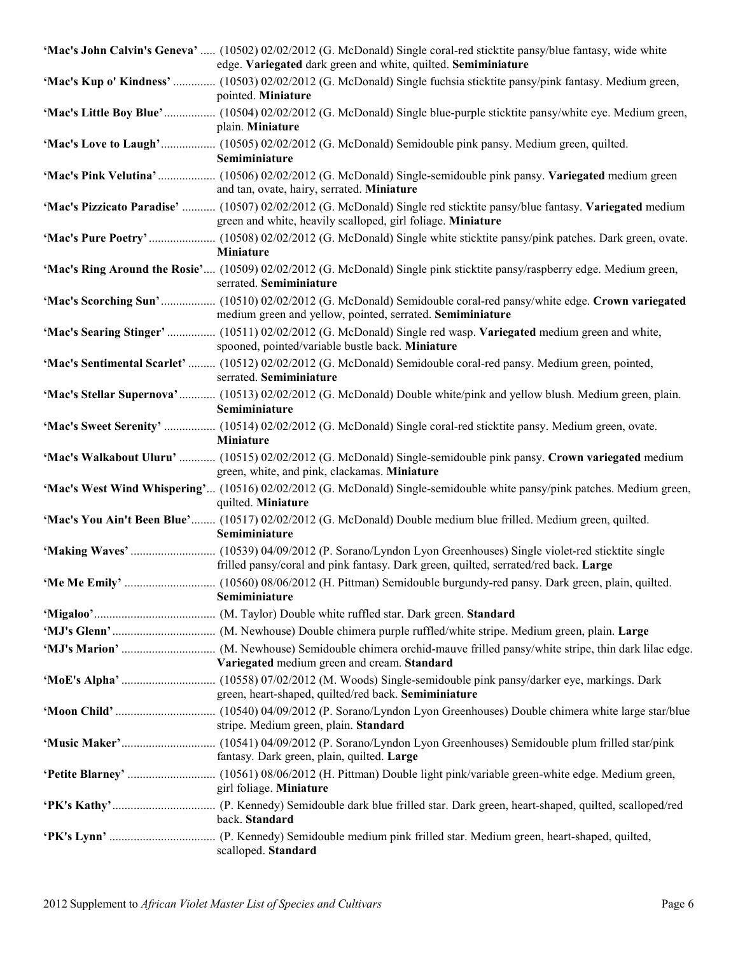| 'Mac's John Calvin's Geneva'  (10502) 02/02/2012 (G. McDonald) Single coral-red sticktite pansy/blue fantasy, wide white<br>edge. Variegated dark green and white, quilted. Semiminiature |
|-------------------------------------------------------------------------------------------------------------------------------------------------------------------------------------------|
| 'Mac's Kup o' Kindness'  (10503) 02/02/2012 (G. McDonald) Single fuchsia sticktite pansy/pink fantasy. Medium green,<br>pointed. Miniature                                                |
| 'Mac's Little Boy Blue' (10504) 02/02/2012 (G. McDonald) Single blue-purple sticktite pansy/white eye. Medium green,<br>plain. Miniature                                                  |
| Semiminiature                                                                                                                                                                             |
| and tan, ovate, hairy, serrated. Miniature                                                                                                                                                |
| 'Mac's Pizzicato Paradise'  (10507) 02/02/2012 (G. McDonald) Single red sticktite pansy/blue fantasy. Variegated medium<br>green and white, heavily scalloped, girl foliage. Miniature    |
| <b>Miniature</b>                                                                                                                                                                          |
| 'Mac's Ring Around the Rosie' (10509) 02/02/2012 (G. McDonald) Single pink sticktite pansy/raspberry edge. Medium green,<br>serrated. Semiminiature                                       |
| medium green and yellow, pointed, serrated. Semiminiature                                                                                                                                 |
| 'Mac's Searing Stinger'  (10511) 02/02/2012 (G. McDonald) Single red wasp. Variegated medium green and white,<br>spooned, pointed/variable bustle back. Miniature                         |
| 'Mac's Sentimental Scarlet'  (10512) 02/02/2012 (G. McDonald) Semidouble coral-red pansy. Medium green, pointed,<br>serrated. Semiminiature                                               |
| 'Mac's Stellar Supernova' (10513) 02/02/2012 (G. McDonald) Double white/pink and yellow blush. Medium green, plain.<br>Semiminiature                                                      |
| 'Mac's Sweet Serenity'  (10514) 02/02/2012 (G. McDonald) Single coral-red sticktite pansy. Medium green, ovate.<br>Miniature                                                              |
| 'Mac's Walkabout Uluru'  (10515) 02/02/2012 (G. McDonald) Single-semidouble pink pansy. Crown variegated medium<br>green, white, and pink, clackamas. Miniature                           |
| 'Mac's West Wind Whispering' (10516) 02/02/2012 (G. McDonald) Single-semidouble white pansy/pink patches. Medium green,<br>quilted. Miniature                                             |
| 'Mac's You Ain't Been Blue' (10517) 02/02/2012 (G. McDonald) Double medium blue frilled. Medium green, quilted.<br>Semiminiature                                                          |
| frilled pansy/coral and pink fantasy. Dark green, quilted, serrated/red back. Large                                                                                                       |
| Semiminiature                                                                                                                                                                             |
|                                                                                                                                                                                           |
|                                                                                                                                                                                           |
| Variegated medium green and cream. Standard                                                                                                                                               |
| green, heart-shaped, quilted/red back. Semiminiature                                                                                                                                      |
| stripe. Medium green, plain. Standard                                                                                                                                                     |
| fantasy. Dark green, plain, quilted. Large                                                                                                                                                |
| girl foliage. Miniature                                                                                                                                                                   |
| back. Standard                                                                                                                                                                            |
| scalloped. Standard                                                                                                                                                                       |